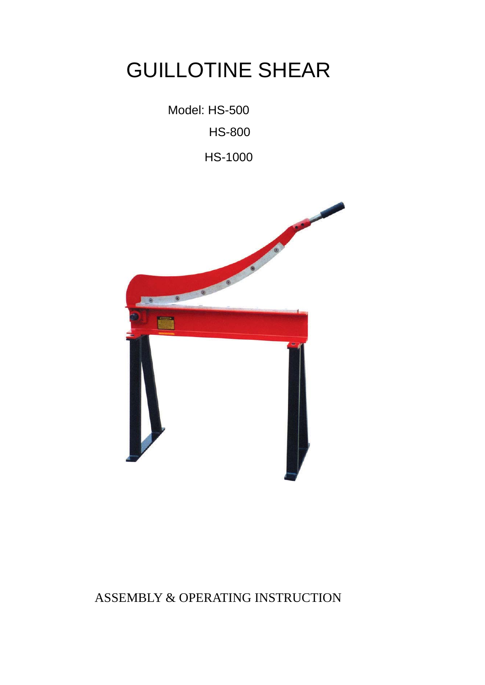## GUILLOTINE SHEAR

Model: HS-500

HS-800

HS-1000



ASSEMBLY & OPERATING INSTRUCTION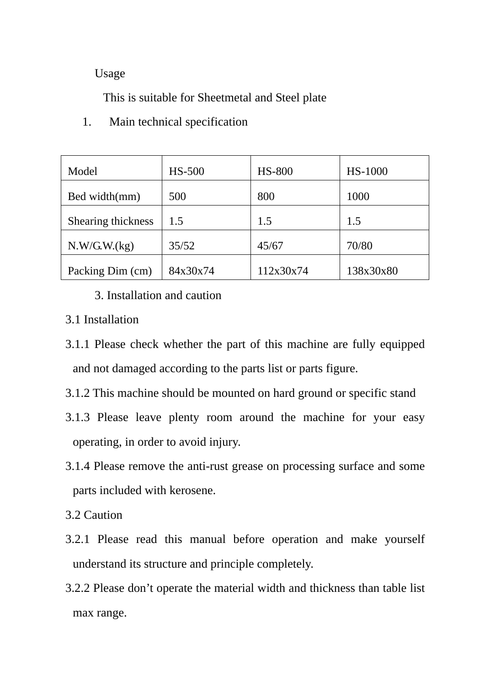Usage

This is suitable for Sheetmetal and Steel plate

| Model              | <b>HS-500</b> | <b>HS-800</b> | HS-1000   |
|--------------------|---------------|---------------|-----------|
| Bed width(mm)      | 500           | 800           | 1000      |
| Shearing thickness | 1.5           | 1.5           | 1.5       |
| N.W/G.W.(kg)       | 35/52         | 45/67         | 70/80     |
| Packing Dim (cm)   | 84x30x74      | 112x30x74     | 138x30x80 |

1. Main technical specification

3. Installation and caution

- 3.1 Installation
- 3.1.1 Please check whether the part of this machine are fully equipped and not damaged according to the parts list or parts figure.
- 3.1.2 This machine should be mounted on hard ground or specific stand
- 3.1.3 Please leave plenty room around the machine for your easy operating, in order to avoid injury.
- 3.1.4 Please remove the anti-rust grease on processing surface and some parts included with kerosene.
- 3.2 Caution
- 3.2.1 Please read this manual before operation and make yourself understand its structure and principle completely.
- 3.2.2 Please don't operate the material width and thickness than table list max range.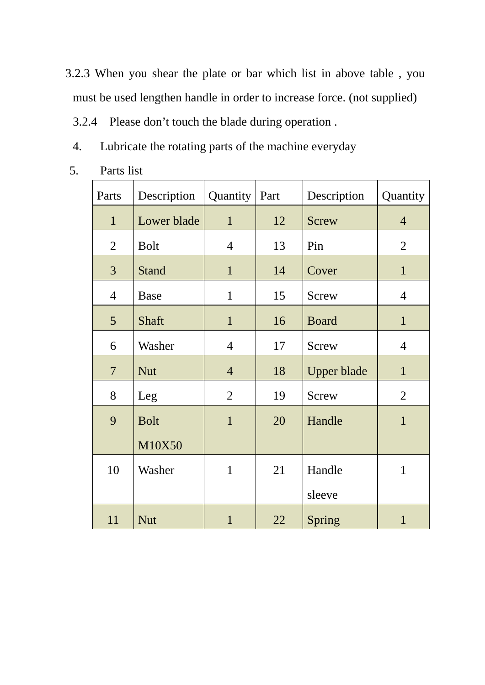- 3.2.3 When you shear the plate or bar which list in above table , you must be used lengthen handle in order to increase force. (not supplied)
	- 3.2.4 Please don't touch the blade during operation .
	- 4. Lubricate the rotating parts of the machine everyday
- 5. Parts list

| Parts           | Description  | Quantity       | Part | Description        | Quantity       |
|-----------------|--------------|----------------|------|--------------------|----------------|
| $\mathbf{1}$    | Lower blade  | $\mathbf{1}$   | 12   | <b>Screw</b>       | $\overline{4}$ |
| $\overline{2}$  | <b>Bolt</b>  | $\overline{4}$ | 13   | Pin                | $\overline{2}$ |
| 3               | <b>Stand</b> | $\mathbf{1}$   | 14   | Cover              | $\mathbf{1}$   |
| $\overline{4}$  | <b>Base</b>  | $\mathbf{1}$   | 15   | <b>Screw</b>       | $\overline{4}$ |
| $5\overline{)}$ | Shaft        | $\mathbf{1}$   | 16   | <b>Board</b>       | $\mathbf{1}$   |
| 6               | Washer       | $\overline{4}$ | 17   | <b>Screw</b>       | $\overline{4}$ |
| $\overline{7}$  | <b>Nut</b>   | $\overline{4}$ | 18   | <b>Upper blade</b> | $\mathbf{1}$   |
| 8               | Leg          | $\overline{2}$ | 19   | <b>Screw</b>       | $\overline{2}$ |
| 9               | <b>Bolt</b>  | $\mathbf{1}$   | 20   | Handle             | $\mathbf{1}$   |
|                 | M10X50       |                |      |                    |                |
| 10              | Washer       | $\mathbf{1}$   | 21   | Handle             | $\mathbf{1}$   |
|                 |              |                |      | sleeve             |                |
| 11              | <b>Nut</b>   | $\mathbf{1}$   | 22   | Spring             | $\mathbf{1}$   |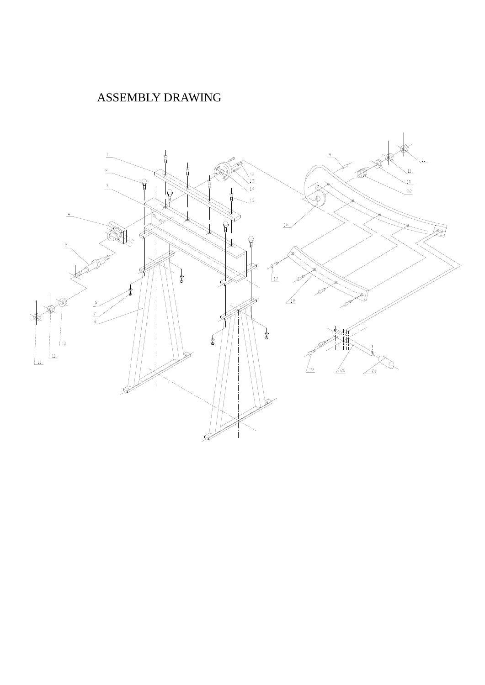## ASSEMBLY DRAWING